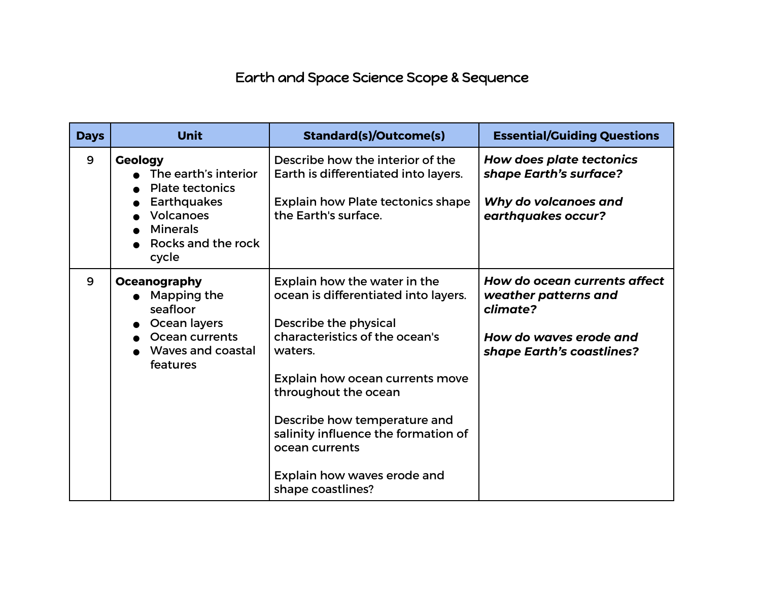## Earth and Space Science Scope & Sequence

| <b>Days</b> | Unit                                                                                                                                                  | <b>Standard(s)/Outcome(s)</b>                                                                                                                                                                                                                                                                                                                      | <b>Essential/Guiding Questions</b>                                                                                      |
|-------------|-------------------------------------------------------------------------------------------------------------------------------------------------------|----------------------------------------------------------------------------------------------------------------------------------------------------------------------------------------------------------------------------------------------------------------------------------------------------------------------------------------------------|-------------------------------------------------------------------------------------------------------------------------|
| 9           | <b>Geology</b><br>The earth's interior<br><b>Plate tectonics</b><br><b>Earthquakes</b><br>Volcanoes<br><b>Minerals</b><br>Rocks and the rock<br>cycle | Describe how the interior of the<br>Earth is differentiated into layers.<br><b>Explain how Plate tectonics shape</b><br>the Earth's surface.                                                                                                                                                                                                       | <b>How does plate tectonics</b><br>shape Earth's surface?<br>Why do volcanoes and<br>earthquakes occur?                 |
| 9           | Oceanography<br>Mapping the<br>seafloor<br>Ocean layers<br>Ocean currents<br>Waves and coastal<br>features                                            | Explain how the water in the<br>ocean is differentiated into layers.<br>Describe the physical<br>characteristics of the ocean's<br>waters.<br>Explain how ocean currents move<br>throughout the ocean<br>Describe how temperature and<br>salinity influence the formation of<br>ocean currents<br>Explain how waves erode and<br>shape coastlines? | How do ocean currents affect<br>weather patterns and<br>climate?<br>How do waves erode and<br>shape Earth's coastlines? |